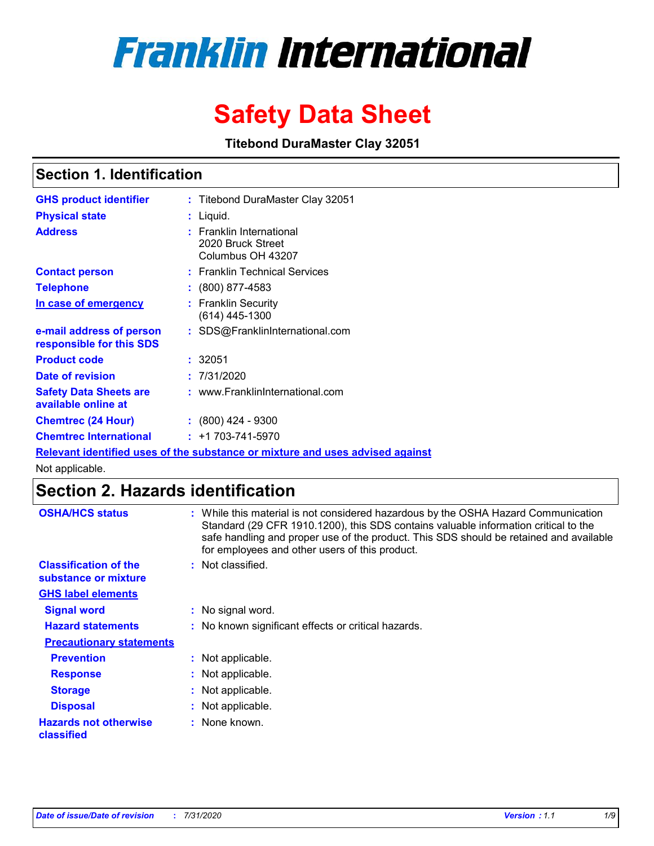# **Franklin International**

## **Safety Data Sheet**

**Titebond DuraMaster Clay 32051**

### **Section 1. Identification**

| <b>GHS product identifier</b>                                                        |  | : Titebond DuraMaster Clay 32051                                   |  |  |  |
|--------------------------------------------------------------------------------------|--|--------------------------------------------------------------------|--|--|--|
| <b>Physical state</b>                                                                |  | : Liquid.                                                          |  |  |  |
| <b>Address</b>                                                                       |  | : Franklin International<br>2020 Bruck Street<br>Columbus OH 43207 |  |  |  |
| <b>Contact person</b>                                                                |  | : Franklin Technical Services                                      |  |  |  |
| <b>Telephone</b>                                                                     |  | $\colon$ (800) 877-4583                                            |  |  |  |
| In case of emergency                                                                 |  | : Franklin Securitv<br>(614) 445-1300                              |  |  |  |
| e-mail address of person<br>responsible for this SDS                                 |  | : SDS@FranklinInternational.com                                    |  |  |  |
| <b>Product code</b>                                                                  |  | : 32051                                                            |  |  |  |
| Date of revision                                                                     |  | 7/31/2020                                                          |  |  |  |
| <b>Safety Data Sheets are</b><br>available online at                                 |  | : www.FranklinInternational.com                                    |  |  |  |
| <b>Chemtrec (24 Hour)</b>                                                            |  | $\div$ (800) 424 - 9300                                            |  |  |  |
| <b>Chemtrec International</b>                                                        |  | $: +1703 - 741 - 5970$                                             |  |  |  |
| <u>Relevant identified uses of the substance or mixture and uses advised against</u> |  |                                                                    |  |  |  |

Not applicable.

### **Section 2. Hazards identification**

| <b>OSHA/HCS status</b>                               | : While this material is not considered hazardous by the OSHA Hazard Communication<br>Standard (29 CFR 1910.1200), this SDS contains valuable information critical to the<br>safe handling and proper use of the product. This SDS should be retained and available<br>for employees and other users of this product. |
|------------------------------------------------------|-----------------------------------------------------------------------------------------------------------------------------------------------------------------------------------------------------------------------------------------------------------------------------------------------------------------------|
| <b>Classification of the</b><br>substance or mixture | : Not classified.                                                                                                                                                                                                                                                                                                     |
| <b>GHS label elements</b>                            |                                                                                                                                                                                                                                                                                                                       |
| <b>Signal word</b>                                   | : No signal word.                                                                                                                                                                                                                                                                                                     |
| <b>Hazard statements</b>                             | : No known significant effects or critical hazards.                                                                                                                                                                                                                                                                   |
| <b>Precautionary statements</b>                      |                                                                                                                                                                                                                                                                                                                       |
| <b>Prevention</b>                                    | : Not applicable.                                                                                                                                                                                                                                                                                                     |
| <b>Response</b>                                      | : Not applicable.                                                                                                                                                                                                                                                                                                     |
| <b>Storage</b>                                       | : Not applicable.                                                                                                                                                                                                                                                                                                     |
| <b>Disposal</b>                                      | : Not applicable.                                                                                                                                                                                                                                                                                                     |
| <b>Hazards not otherwise</b><br>classified           | : None known.                                                                                                                                                                                                                                                                                                         |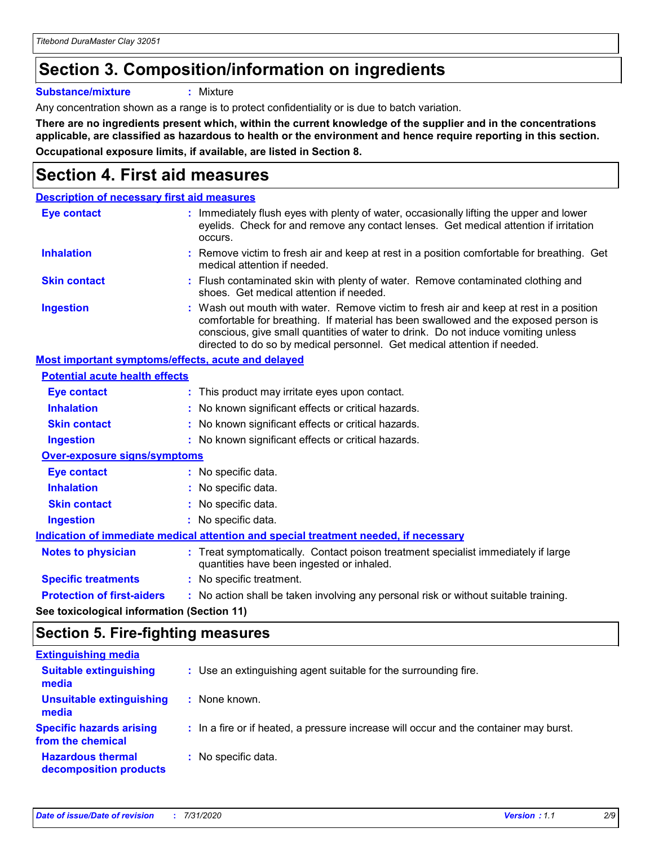### **Section 3. Composition/information on ingredients**

**Substance/mixture :** Mixture

Any concentration shown as a range is to protect confidentiality or is due to batch variation.

**There are no ingredients present which, within the current knowledge of the supplier and in the concentrations applicable, are classified as hazardous to health or the environment and hence require reporting in this section. Occupational exposure limits, if available, are listed in Section 8.**

### **Section 4. First aid measures**

| <b>Description of necessary first aid measures</b> |                                                                                                                                                                                                                                                                                                                                                |
|----------------------------------------------------|------------------------------------------------------------------------------------------------------------------------------------------------------------------------------------------------------------------------------------------------------------------------------------------------------------------------------------------------|
| <b>Eye contact</b>                                 | : Immediately flush eyes with plenty of water, occasionally lifting the upper and lower<br>eyelids. Check for and remove any contact lenses. Get medical attention if irritation<br>occurs.                                                                                                                                                    |
| <b>Inhalation</b>                                  | : Remove victim to fresh air and keep at rest in a position comfortable for breathing. Get<br>medical attention if needed.                                                                                                                                                                                                                     |
| <b>Skin contact</b>                                | : Flush contaminated skin with plenty of water. Remove contaminated clothing and<br>shoes. Get medical attention if needed.                                                                                                                                                                                                                    |
| <b>Ingestion</b>                                   | : Wash out mouth with water. Remove victim to fresh air and keep at rest in a position<br>comfortable for breathing. If material has been swallowed and the exposed person is<br>conscious, give small quantities of water to drink. Do not induce vomiting unless<br>directed to do so by medical personnel. Get medical attention if needed. |
| Most important symptoms/effects, acute and delayed |                                                                                                                                                                                                                                                                                                                                                |
| <b>Potential acute health effects</b>              |                                                                                                                                                                                                                                                                                                                                                |
| Eye contact                                        | : This product may irritate eyes upon contact.                                                                                                                                                                                                                                                                                                 |
| <b>Inhalation</b>                                  | : No known significant effects or critical hazards.                                                                                                                                                                                                                                                                                            |
| <b>Skin contact</b>                                | : No known significant effects or critical hazards.                                                                                                                                                                                                                                                                                            |
| <b>Ingestion</b>                                   | : No known significant effects or critical hazards.                                                                                                                                                                                                                                                                                            |
| <b>Over-exposure signs/symptoms</b>                |                                                                                                                                                                                                                                                                                                                                                |
| <b>Eye contact</b>                                 | : No specific data.                                                                                                                                                                                                                                                                                                                            |
| <b>Inhalation</b>                                  | : No specific data.                                                                                                                                                                                                                                                                                                                            |
| <b>Skin contact</b>                                | : No specific data.                                                                                                                                                                                                                                                                                                                            |
| <b>Ingestion</b>                                   | : No specific data.                                                                                                                                                                                                                                                                                                                            |
|                                                    | Indication of immediate medical attention and special treatment needed, if necessary                                                                                                                                                                                                                                                           |
| <b>Notes to physician</b>                          | : Treat symptomatically. Contact poison treatment specialist immediately if large<br>quantities have been ingested or inhaled.                                                                                                                                                                                                                 |
| <b>Specific treatments</b>                         | : No specific treatment.                                                                                                                                                                                                                                                                                                                       |
| <b>Protection of first-aiders</b>                  | : No action shall be taken involving any personal risk or without suitable training.                                                                                                                                                                                                                                                           |
|                                                    |                                                                                                                                                                                                                                                                                                                                                |

**See toxicological information (Section 11)**

#### **Section 5. Fire-fighting measures**

| <b>Extinguishing media</b>                           |                                                                                       |
|------------------------------------------------------|---------------------------------------------------------------------------------------|
| <b>Suitable extinguishing</b><br>media               | : Use an extinguishing agent suitable for the surrounding fire.                       |
| Unsuitable extinguishing<br>media                    | : None known.                                                                         |
| <b>Specific hazards arising</b><br>from the chemical | : In a fire or if heated, a pressure increase will occur and the container may burst. |
| <b>Hazardous thermal</b><br>decomposition products   | : No specific data.                                                                   |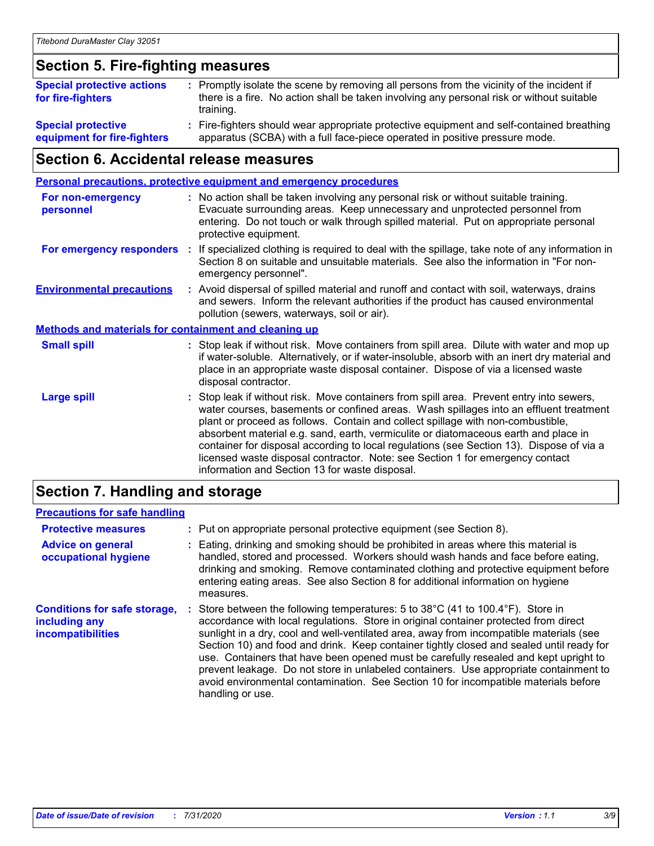### **Section 5. Fire-fighting measures**

| <b>Special protective actions</b><br>for fire-fighters   | : Promptly isolate the scene by removing all persons from the vicinity of the incident if<br>there is a fire. No action shall be taken involving any personal risk or without suitable<br>training. |
|----------------------------------------------------------|-----------------------------------------------------------------------------------------------------------------------------------------------------------------------------------------------------|
| <b>Special protective</b><br>equipment for fire-fighters | Fire-fighters should wear appropriate protective equipment and self-contained breathing<br>apparatus (SCBA) with a full face-piece operated in positive pressure mode.                              |

### **Section 6. Accidental release measures**

| <b>Personal precautions, protective equipment and emergency procedures</b> |  |                                                                                                                                                                                                                                                                                                                                                                                                                                                                                                                                                                                            |
|----------------------------------------------------------------------------|--|--------------------------------------------------------------------------------------------------------------------------------------------------------------------------------------------------------------------------------------------------------------------------------------------------------------------------------------------------------------------------------------------------------------------------------------------------------------------------------------------------------------------------------------------------------------------------------------------|
| <b>For non-emergency</b><br>personnel                                      |  | : No action shall be taken involving any personal risk or without suitable training.<br>Evacuate surrounding areas. Keep unnecessary and unprotected personnel from<br>entering. Do not touch or walk through spilled material. Put on appropriate personal<br>protective equipment.                                                                                                                                                                                                                                                                                                       |
| For emergency responders                                                   |  | : If specialized clothing is required to deal with the spillage, take note of any information in<br>Section 8 on suitable and unsuitable materials. See also the information in "For non-<br>emergency personnel".                                                                                                                                                                                                                                                                                                                                                                         |
| <b>Environmental precautions</b>                                           |  | : Avoid dispersal of spilled material and runoff and contact with soil, waterways, drains<br>and sewers. Inform the relevant authorities if the product has caused environmental<br>pollution (sewers, waterways, soil or air).                                                                                                                                                                                                                                                                                                                                                            |
| <b>Methods and materials for containment and cleaning up</b>               |  |                                                                                                                                                                                                                                                                                                                                                                                                                                                                                                                                                                                            |
| <b>Small spill</b>                                                         |  | : Stop leak if without risk. Move containers from spill area. Dilute with water and mop up<br>if water-soluble. Alternatively, or if water-insoluble, absorb with an inert dry material and<br>place in an appropriate waste disposal container. Dispose of via a licensed waste<br>disposal contractor.                                                                                                                                                                                                                                                                                   |
| <b>Large spill</b>                                                         |  | : Stop leak if without risk. Move containers from spill area. Prevent entry into sewers,<br>water courses, basements or confined areas. Wash spillages into an effluent treatment<br>plant or proceed as follows. Contain and collect spillage with non-combustible,<br>absorbent material e.g. sand, earth, vermiculite or diatomaceous earth and place in<br>container for disposal according to local regulations (see Section 13). Dispose of via a<br>licensed waste disposal contractor. Note: see Section 1 for emergency contact<br>information and Section 13 for waste disposal. |
|                                                                            |  |                                                                                                                                                                                                                                                                                                                                                                                                                                                                                                                                                                                            |

#### **Section 7. Handling and storage**

#### **Precautions for safe handling**

| <b>Protective measures</b>                                                | : Put on appropriate personal protective equipment (see Section 8).                                                                                                                                                                                                                                                                                                                                                                                                                                                                                                                                                                                      |
|---------------------------------------------------------------------------|----------------------------------------------------------------------------------------------------------------------------------------------------------------------------------------------------------------------------------------------------------------------------------------------------------------------------------------------------------------------------------------------------------------------------------------------------------------------------------------------------------------------------------------------------------------------------------------------------------------------------------------------------------|
| <b>Advice on general</b><br>occupational hygiene                          | Eating, drinking and smoking should be prohibited in areas where this material is<br>handled, stored and processed. Workers should wash hands and face before eating,<br>drinking and smoking. Remove contaminated clothing and protective equipment before<br>entering eating areas. See also Section 8 for additional information on hygiene<br>measures.                                                                                                                                                                                                                                                                                              |
| <b>Conditions for safe storage,</b><br>including any<br>incompatibilities | Store between the following temperatures: 5 to 38°C (41 to 100.4°F). Store in<br>accordance with local regulations. Store in original container protected from direct<br>sunlight in a dry, cool and well-ventilated area, away from incompatible materials (see<br>Section 10) and food and drink. Keep container tightly closed and sealed until ready for<br>use. Containers that have been opened must be carefully resealed and kept upright to<br>prevent leakage. Do not store in unlabeled containers. Use appropriate containment to<br>avoid environmental contamination. See Section 10 for incompatible materials before<br>handling or use. |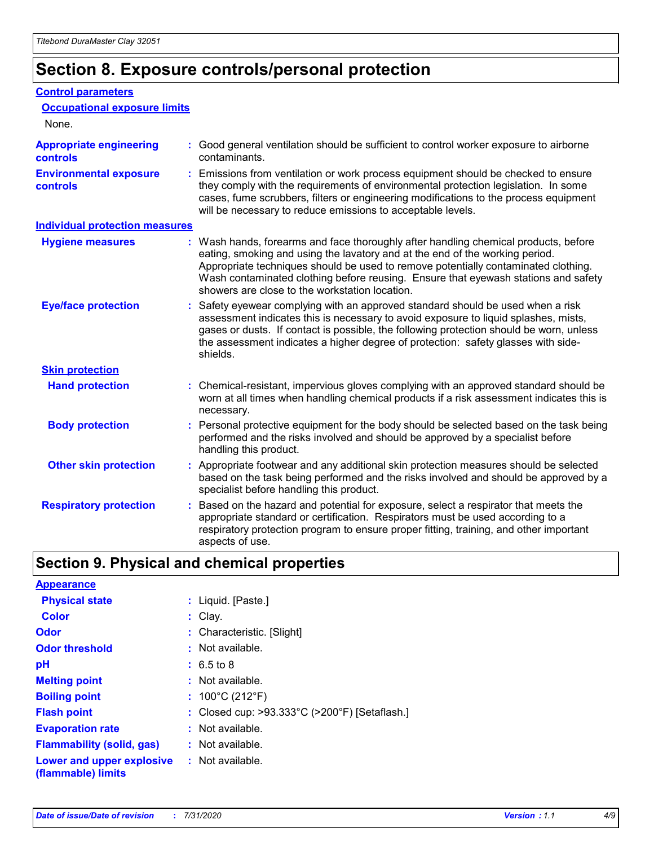### **Section 8. Exposure controls/personal protection**

#### **Control parameters**

| <b>Occupational exposure limits</b><br>None.      |                                                                                                                                                                                                                                                                                                                                                                                                   |
|---------------------------------------------------|---------------------------------------------------------------------------------------------------------------------------------------------------------------------------------------------------------------------------------------------------------------------------------------------------------------------------------------------------------------------------------------------------|
| <b>Appropriate engineering</b><br><b>controls</b> | : Good general ventilation should be sufficient to control worker exposure to airborne<br>contaminants.                                                                                                                                                                                                                                                                                           |
| <b>Environmental exposure</b><br><b>controls</b>  | : Emissions from ventilation or work process equipment should be checked to ensure<br>they comply with the requirements of environmental protection legislation. In some<br>cases, fume scrubbers, filters or engineering modifications to the process equipment<br>will be necessary to reduce emissions to acceptable levels.                                                                   |
| <b>Individual protection measures</b>             |                                                                                                                                                                                                                                                                                                                                                                                                   |
| <b>Hygiene measures</b>                           | : Wash hands, forearms and face thoroughly after handling chemical products, before<br>eating, smoking and using the lavatory and at the end of the working period.<br>Appropriate techniques should be used to remove potentially contaminated clothing.<br>Wash contaminated clothing before reusing. Ensure that eyewash stations and safety<br>showers are close to the workstation location. |
| <b>Eye/face protection</b>                        | : Safety eyewear complying with an approved standard should be used when a risk<br>assessment indicates this is necessary to avoid exposure to liquid splashes, mists,<br>gases or dusts. If contact is possible, the following protection should be worn, unless<br>the assessment indicates a higher degree of protection: safety glasses with side-<br>shields.                                |
| <b>Skin protection</b>                            |                                                                                                                                                                                                                                                                                                                                                                                                   |
| <b>Hand protection</b>                            | : Chemical-resistant, impervious gloves complying with an approved standard should be<br>worn at all times when handling chemical products if a risk assessment indicates this is<br>necessary.                                                                                                                                                                                                   |
| <b>Body protection</b>                            | : Personal protective equipment for the body should be selected based on the task being<br>performed and the risks involved and should be approved by a specialist before<br>handling this product.                                                                                                                                                                                               |
| <b>Other skin protection</b>                      | : Appropriate footwear and any additional skin protection measures should be selected<br>based on the task being performed and the risks involved and should be approved by a<br>specialist before handling this product.                                                                                                                                                                         |
| <b>Respiratory protection</b>                     | Based on the hazard and potential for exposure, select a respirator that meets the<br>appropriate standard or certification. Respirators must be used according to a<br>respiratory protection program to ensure proper fitting, training, and other important<br>aspects of use.                                                                                                                 |

### **Section 9. Physical and chemical properties**

| <b>Appearance</b>                                                       |                                               |
|-------------------------------------------------------------------------|-----------------------------------------------|
| <b>Physical state</b>                                                   | : Liquid. [Paste.]                            |
| <b>Color</b>                                                            | $:$ Clav.                                     |
| Odor                                                                    | : Characteristic. [Slight]                    |
| <b>Odor threshold</b>                                                   | $:$ Not available.                            |
| рH                                                                      | $: 6.5 \text{ to } 8$                         |
| <b>Melting point</b>                                                    | $:$ Not available.                            |
| <b>Boiling point</b>                                                    | : $100^{\circ}$ C (212 $^{\circ}$ F)          |
| <b>Flash point</b>                                                      | : Closed cup: >93.333°C (>200°F) [Setaflash.] |
| <b>Evaporation rate</b>                                                 | $:$ Not available.                            |
| <b>Flammability (solid, gas)</b>                                        | : Not available.                              |
| <b>Lower and upper explosive : Not available.</b><br>(flammable) limits |                                               |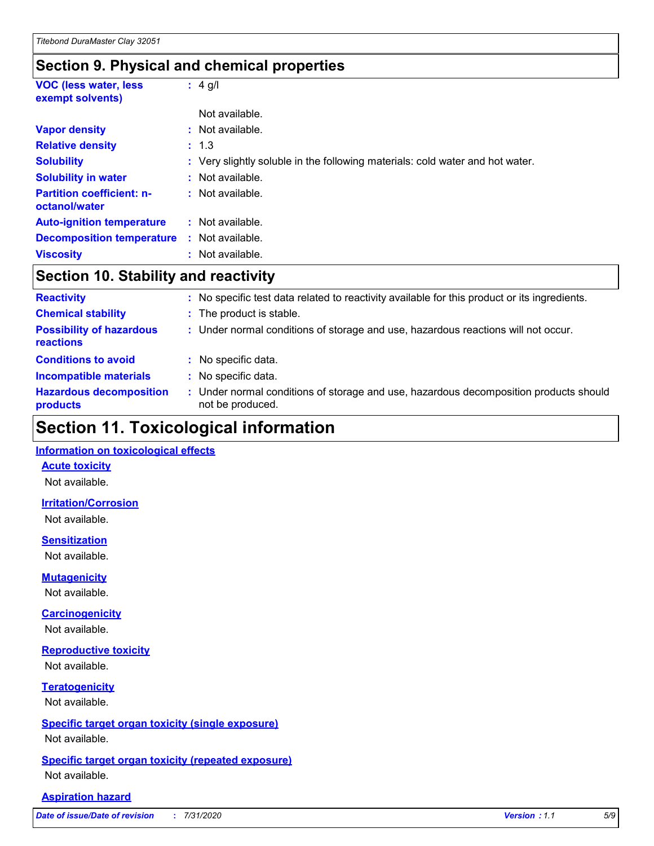### **Section 9. Physical and chemical properties**

| <b>VOC (less water, less)</b><br>exempt solvents) | $: 4$ g/l                                                                     |
|---------------------------------------------------|-------------------------------------------------------------------------------|
|                                                   | Not available.                                                                |
| <b>Vapor density</b>                              | : Not available.                                                              |
| <b>Relative density</b>                           | : 1.3                                                                         |
| <b>Solubility</b>                                 | : Very slightly soluble in the following materials: cold water and hot water. |
| <b>Solubility in water</b>                        | : Not available.                                                              |
| <b>Partition coefficient: n-</b><br>octanol/water | : Not available.                                                              |
| <b>Auto-ignition temperature</b>                  | : Not available.                                                              |
| <b>Decomposition temperature</b>                  | : Not available.                                                              |
| <b>Viscosity</b>                                  | : Not available.                                                              |

### **Section 10. Stability and reactivity**

| <b>Reactivity</b>                            | : No specific test data related to reactivity available for this product or its ingredients.              |
|----------------------------------------------|-----------------------------------------------------------------------------------------------------------|
| <b>Chemical stability</b>                    | : The product is stable.                                                                                  |
| <b>Possibility of hazardous</b><br>reactions | : Under normal conditions of storage and use, hazardous reactions will not occur.                         |
| <b>Conditions to avoid</b>                   | : No specific data.                                                                                       |
| <b>Incompatible materials</b>                | : No specific data.                                                                                       |
| <b>Hazardous decomposition</b><br>products   | : Under normal conditions of storage and use, hazardous decomposition products should<br>not be produced. |

### **Section 11. Toxicological information**

#### **Information on toxicological effects**

#### **Acute toxicity**

Not available.

#### **Irritation/Corrosion**

Not available.

#### **Sensitization**

Not available.

#### **Mutagenicity**

Not available.

#### **Carcinogenicity**

Not available.

#### **Reproductive toxicity**

Not available.

#### **Teratogenicity**

Not available.

#### **Specific target organ toxicity (single exposure)**

Not available.

#### **Specific target organ toxicity (repeated exposure)** Not available.

#### **Aspiration hazard**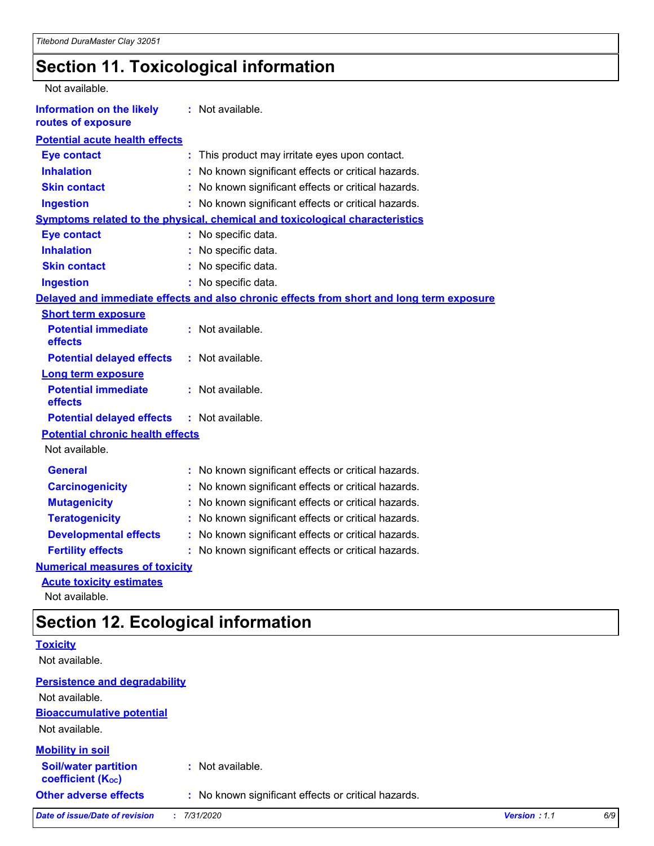### **Section 11. Toxicological information**

| Not available.                                         |                                                                                          |
|--------------------------------------------------------|------------------------------------------------------------------------------------------|
| <b>Information on the likely</b><br>routes of exposure | : Not available.                                                                         |
| <b>Potential acute health effects</b>                  |                                                                                          |
| <b>Eye contact</b>                                     | This product may irritate eyes upon contact.<br>÷.                                       |
| <b>Inhalation</b>                                      | No known significant effects or critical hazards.                                        |
| <b>Skin contact</b>                                    | No known significant effects or critical hazards.<br>÷.                                  |
| <b>Ingestion</b>                                       | : No known significant effects or critical hazards.                                      |
|                                                        | <b>Symptoms related to the physical, chemical and toxicological characteristics</b>      |
| <b>Eye contact</b>                                     | : No specific data.                                                                      |
| <b>Inhalation</b>                                      | : No specific data.                                                                      |
| <b>Skin contact</b>                                    | No specific data.                                                                        |
| <b>Ingestion</b>                                       | : No specific data.                                                                      |
|                                                        | Delayed and immediate effects and also chronic effects from short and long term exposure |
| <b>Short term exposure</b>                             |                                                                                          |
| <b>Potential immediate</b><br>effects                  | : Not available.                                                                         |
| <b>Potential delayed effects</b>                       | : Not available.                                                                         |
| <b>Long term exposure</b>                              |                                                                                          |
| <b>Potential immediate</b><br>effects                  | : Not available.                                                                         |
| <b>Potential delayed effects</b>                       | : Not available.                                                                         |
| <b>Potential chronic health effects</b>                |                                                                                          |
| Not available.                                         |                                                                                          |
| <b>General</b>                                         | : No known significant effects or critical hazards.                                      |
| <b>Carcinogenicity</b>                                 | No known significant effects or critical hazards.<br>t.                                  |
| <b>Mutagenicity</b>                                    | No known significant effects or critical hazards.                                        |
| <b>Teratogenicity</b>                                  | No known significant effects or critical hazards.                                        |
| <b>Developmental effects</b>                           | No known significant effects or critical hazards.                                        |
| <b>Fertility effects</b>                               | : No known significant effects or critical hazards.                                      |
| <b>Numerical measures of toxicity</b>                  |                                                                                          |
| <b>Acute toxicity estimates</b>                        |                                                                                          |

Not available.

### **Section 12. Ecological information**

|                                                         | ັ                                                   |              |     |
|---------------------------------------------------------|-----------------------------------------------------|--------------|-----|
| <b>Toxicity</b>                                         |                                                     |              |     |
| Not available.                                          |                                                     |              |     |
| <b>Persistence and degradability</b>                    |                                                     |              |     |
| Not available.                                          |                                                     |              |     |
| <b>Bioaccumulative potential</b>                        |                                                     |              |     |
| Not available.                                          |                                                     |              |     |
| <b>Mobility in soil</b>                                 |                                                     |              |     |
| <b>Soil/water partition</b><br><b>coefficient (Koc)</b> | : Not available.                                    |              |     |
| <b>Other adverse effects</b>                            | : No known significant effects or critical hazards. |              |     |
| Date of issue/Date of revision                          | 7/31/2020                                           | Version: 1.1 | 6/9 |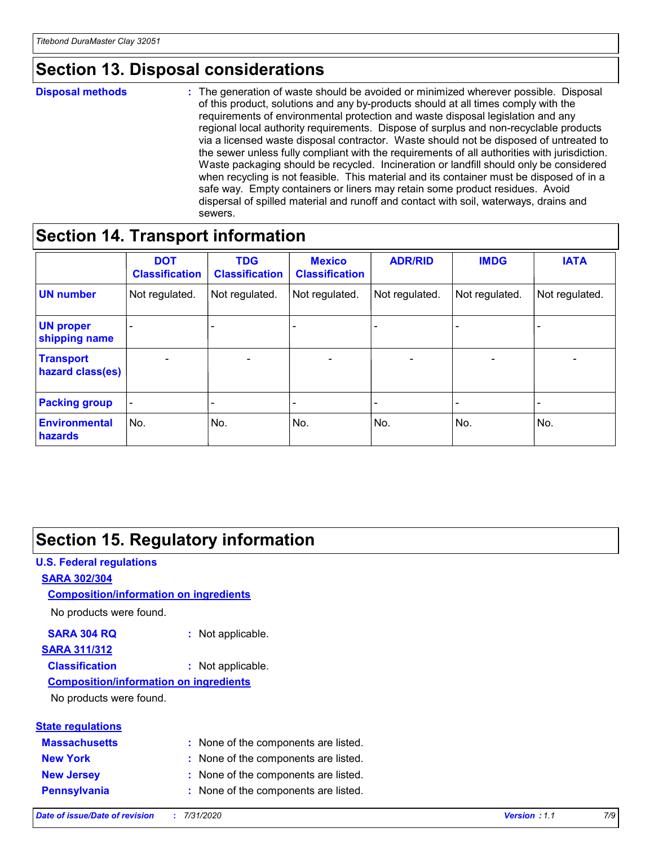### **Section 13. Disposal considerations**

#### **Disposal methods :**

The generation of waste should be avoided or minimized wherever possible. Disposal of this product, solutions and any by-products should at all times comply with the requirements of environmental protection and waste disposal legislation and any regional local authority requirements. Dispose of surplus and non-recyclable products via a licensed waste disposal contractor. Waste should not be disposed of untreated to the sewer unless fully compliant with the requirements of all authorities with jurisdiction. Waste packaging should be recycled. Incineration or landfill should only be considered when recycling is not feasible. This material and its container must be disposed of in a safe way. Empty containers or liners may retain some product residues. Avoid dispersal of spilled material and runoff and contact with soil, waterways, drains and sewers.

### **Section 14. Transport information**

|                                      | <b>DOT</b><br><b>Classification</b> | <b>TDG</b><br><b>Classification</b> | <b>Mexico</b><br><b>Classification</b> | <b>ADR/RID</b>           | <b>IMDG</b>              | <b>IATA</b>                  |
|--------------------------------------|-------------------------------------|-------------------------------------|----------------------------------------|--------------------------|--------------------------|------------------------------|
| <b>UN number</b>                     | Not regulated.                      | Not regulated.                      | Not regulated.                         | Not regulated.           | Not regulated.           | Not regulated.               |
| <b>UN proper</b><br>shipping name    | $\overline{\phantom{0}}$            | $\overline{\phantom{0}}$            | $\overline{\phantom{0}}$               | $\overline{\phantom{0}}$ | $\overline{\phantom{0}}$ | $\qquad \qquad \blacksquare$ |
| <b>Transport</b><br>hazard class(es) | $\blacksquare$                      | $\overline{\phantom{a}}$            | $\overline{\phantom{a}}$               | $\overline{\phantom{a}}$ | $\blacksquare$           | $\overline{\phantom{a}}$     |
| <b>Packing group</b>                 | Ξ.                                  | -                                   | -                                      | -                        |                          |                              |
| <b>Environmental</b><br>hazards      | No.                                 | No.                                 | No.                                    | No.                      | No.                      | No.                          |

### **Section 15. Regulatory information**

#### **U.S. Federal regulations SARA 302/304** No products were found. **Composition/information on ingredients**

#### **SARA 304 RQ :** Not applicable.

### **SARA 311/312**

**Classification :** Not applicable.

#### **Composition/information on ingredients**

No products were found.

|  | <b>State regulations</b> |
|--|--------------------------|
|  |                          |

| <b>Massachusetts</b> | : None of the components are listed. |
|----------------------|--------------------------------------|
| <b>New York</b>      | : None of the components are listed. |
| <b>New Jersey</b>    | : None of the components are listed. |
| Pennsylvania         | : None of the components are listed. |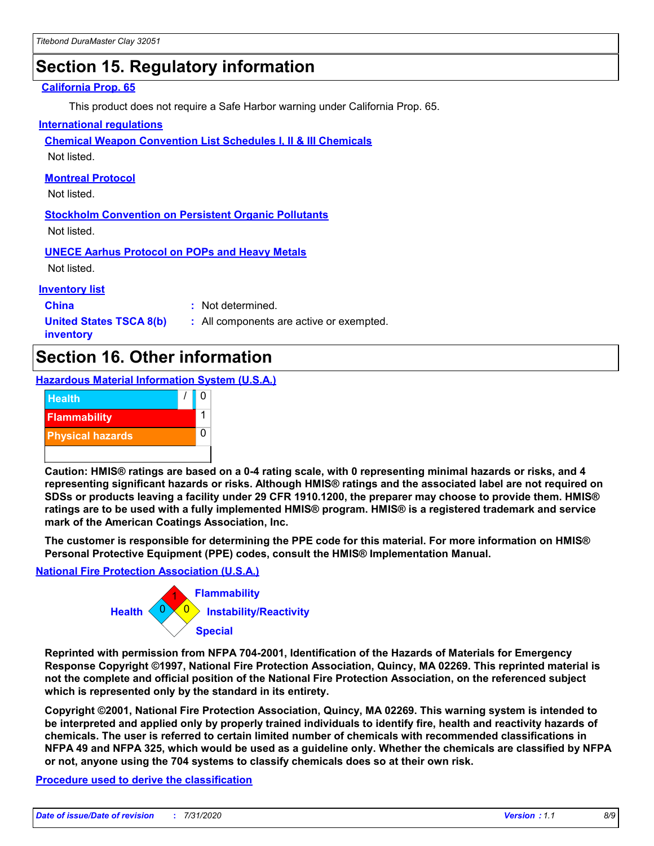### **Section 15. Regulatory information**

#### **California Prop. 65**

This product does not require a Safe Harbor warning under California Prop. 65.

#### **International regulations**

**Chemical Weapon Convention List Schedules I, II & III Chemicals**

Not listed.

#### **Montreal Protocol**

Not listed.

**Stockholm Convention on Persistent Organic Pollutants** Not listed.

**UNECE Aarhus Protocol on POPs and Heavy Metals**

Not listed.

#### **Inventory list**

**China :** Not determined.

**United States TSCA 8(b) inventory**

**:** All components are active or exempted.

### **Section 16. Other information**

**Hazardous Material Information System (U.S.A.)**



**Caution: HMIS® ratings are based on a 0-4 rating scale, with 0 representing minimal hazards or risks, and 4 representing significant hazards or risks. Although HMIS® ratings and the associated label are not required on SDSs or products leaving a facility under 29 CFR 1910.1200, the preparer may choose to provide them. HMIS® ratings are to be used with a fully implemented HMIS® program. HMIS® is a registered trademark and service mark of the American Coatings Association, Inc.**

**The customer is responsible for determining the PPE code for this material. For more information on HMIS® Personal Protective Equipment (PPE) codes, consult the HMIS® Implementation Manual.**

#### **National Fire Protection Association (U.S.A.)**



**Reprinted with permission from NFPA 704-2001, Identification of the Hazards of Materials for Emergency Response Copyright ©1997, National Fire Protection Association, Quincy, MA 02269. This reprinted material is not the complete and official position of the National Fire Protection Association, on the referenced subject which is represented only by the standard in its entirety.**

**Copyright ©2001, National Fire Protection Association, Quincy, MA 02269. This warning system is intended to be interpreted and applied only by properly trained individuals to identify fire, health and reactivity hazards of chemicals. The user is referred to certain limited number of chemicals with recommended classifications in NFPA 49 and NFPA 325, which would be used as a guideline only. Whether the chemicals are classified by NFPA or not, anyone using the 704 systems to classify chemicals does so at their own risk.**

#### **Procedure used to derive the classification**